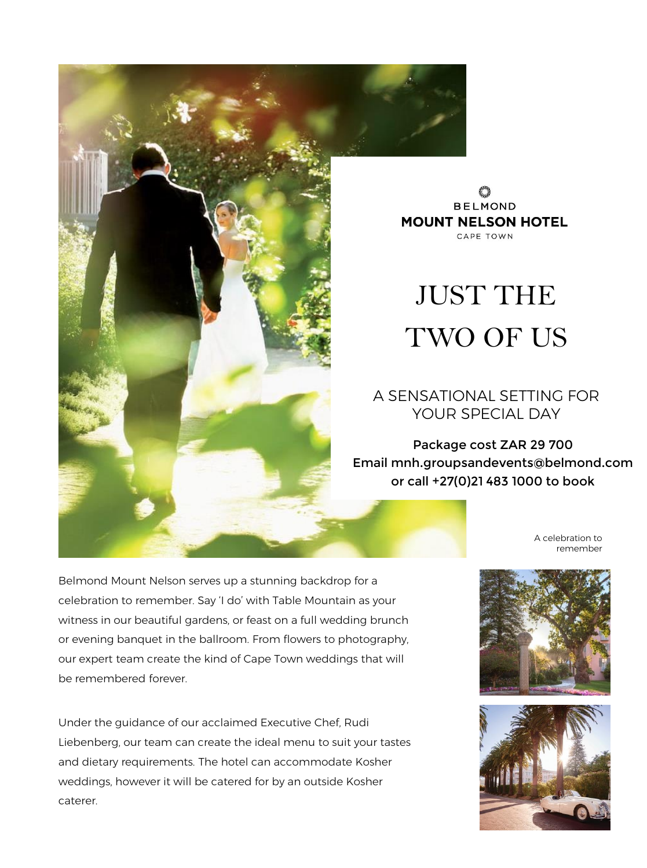

**BELMOND MOUNT NELSON HOTEL** CAPE TOWN

# JUST THE TWO OF US

## A SENSATIONAL SETTING FOR YOUR SPECIAL DAY

Package cost ZAR 29 700 Email mnh.groupsandevents@belmond.com or call +27(0)21 483 1000 to book

> A celebration to remember

Belmond Mount Nelson serves up a stunning backdrop for a celebration to remember. Say 'I do' with Table Mountain as your witness in our beautiful gardens, or feast on a full wedding brunch or evening banquet in the ballroom. From flowers to photography, our expert team create the kind of Cape Town weddings that will be remembered forever.

Under the guidance of our acclaimed Executive Chef, Rudi Liebenberg, our team can create the ideal menu to suit your tastes and dietary requirements. The hotel can accommodate Kosher weddings, however it will be catered for by an outside Kosher caterer.